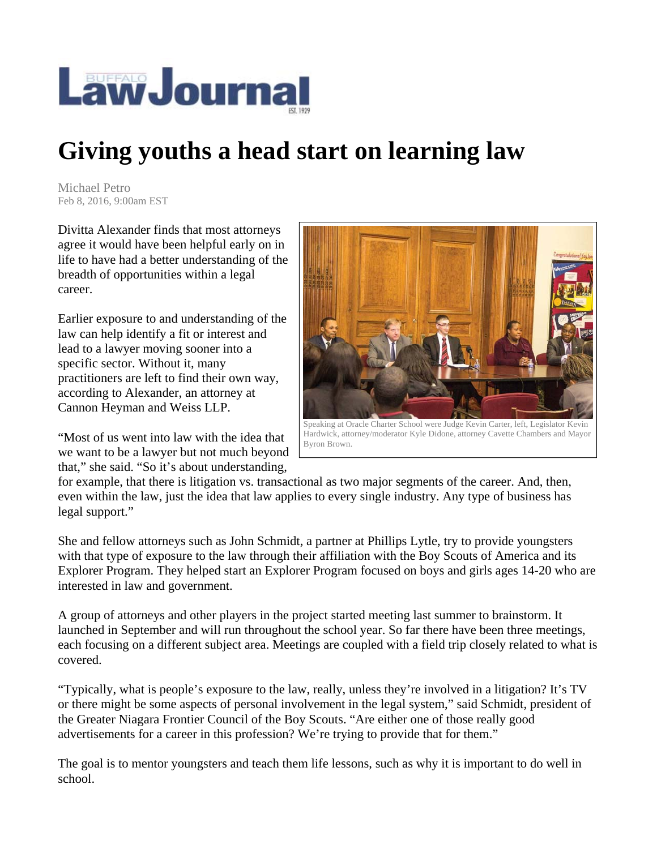

## **Giving youths a head start on learning law**

Michael Petro Feb 8, 2016, 9:00am EST

Divitta Alexander finds that most attorneys agree it would have been helpful early on in life to have had a better understanding of the breadth of opportunities within a legal career.

Earlier exposure to and understanding of the law can help identify a fit or interest and lead to a lawyer moving sooner into a specific sector. Without it, many practitioners are left to find their own way, according to Alexander, an attorney at Cannon Heyman and Weiss LLP.

"Most of us went into law with the idea that we want to be a lawyer but not much beyond that," she said. "So it's about understanding,



Byron Brown.

for example, that there is litigation vs. transactional as two major segments of the career. And, then, even within the law, just the idea that law applies to every single industry. Any type of business has legal support."

She and fellow attorneys such as John Schmidt, a partner at Phillips Lytle, try to provide youngsters with that type of exposure to the law through their affiliation with the Boy Scouts of America and its Explorer Program. They helped start an Explorer Program focused on boys and girls ages 14-20 who are interested in law and government.

A group of attorneys and other players in the project started meeting last summer to brainstorm. It launched in September and will run throughout the school year. So far there have been three meetings, each focusing on a different subject area. Meetings are coupled with a field trip closely related to what is covered.

"Typically, what is people's exposure to the law, really, unless they're involved in a litigation? It's TV or there might be some aspects of personal involvement in the legal system," said Schmidt, president of the Greater Niagara Frontier Council of the Boy Scouts. "Are either one of those really good advertisements for a career in this profession? We're trying to provide that for them."

The goal is to mentor youngsters and teach them life lessons, such as why it is important to do well in school.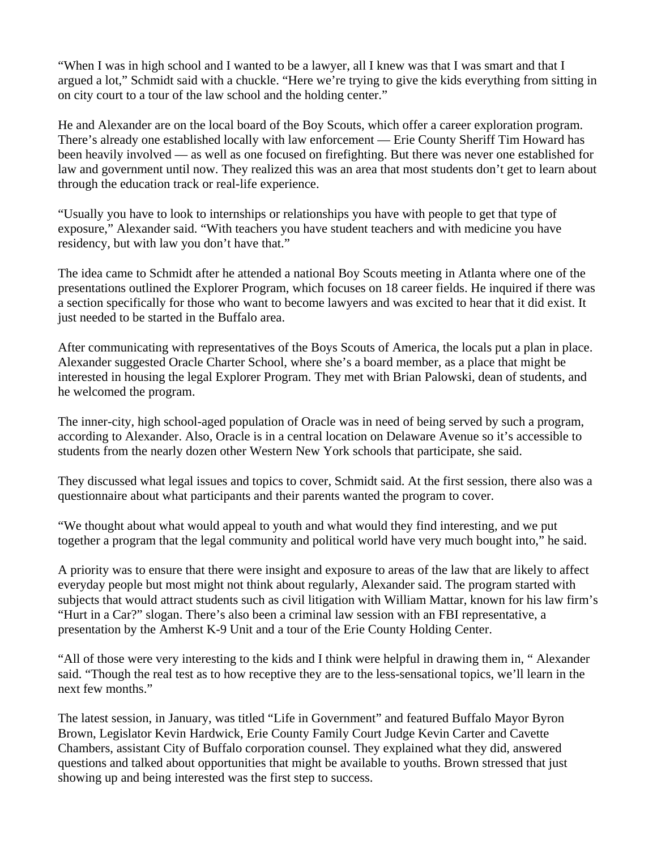"When I was in high school and I wanted to be a lawyer, all I knew was that I was smart and that I argued a lot," Schmidt said with a chuckle. "Here we're trying to give the kids everything from sitting in on city court to a tour of the law school and the holding center."

He and Alexander are on the local board of the Boy Scouts, which offer a career exploration program. There's already one established locally with law enforcement — Erie County Sheriff Tim Howard has been heavily involved — as well as one focused on firefighting. But there was never one established for law and government until now. They realized this was an area that most students don't get to learn about through the education track or real-life experience.

"Usually you have to look to internships or relationships you have with people to get that type of exposure," Alexander said. "With teachers you have student teachers and with medicine you have residency, but with law you don't have that."

The idea came to Schmidt after he attended a national Boy Scouts meeting in Atlanta where one of the presentations outlined the Explorer Program, which focuses on 18 career fields. He inquired if there was a section specifically for those who want to become lawyers and was excited to hear that it did exist. It just needed to be started in the Buffalo area.

After communicating with representatives of the Boys Scouts of America, the locals put a plan in place. Alexander suggested Oracle Charter School, where she's a board member, as a place that might be interested in housing the legal Explorer Program. They met with Brian Palowski, dean of students, and he welcomed the program.

The inner-city, high school-aged population of Oracle was in need of being served by such a program, according to Alexander. Also, Oracle is in a central location on Delaware Avenue so it's accessible to students from the nearly dozen other Western New York schools that participate, she said.

They discussed what legal issues and topics to cover, Schmidt said. At the first session, there also was a questionnaire about what participants and their parents wanted the program to cover.

"We thought about what would appeal to youth and what would they find interesting, and we put together a program that the legal community and political world have very much bought into," he said.

A priority was to ensure that there were insight and exposure to areas of the law that are likely to affect everyday people but most might not think about regularly, Alexander said. The program started with subjects that would attract students such as civil litigation with William Mattar, known for his law firm's "Hurt in a Car?" slogan. There's also been a criminal law session with an FBI representative, a presentation by the Amherst K-9 Unit and a tour of the Erie County Holding Center.

"All of those were very interesting to the kids and I think were helpful in drawing them in, " Alexander said. "Though the real test as to how receptive they are to the less-sensational topics, we'll learn in the next few months."

The latest session, in January, was titled "Life in Government" and featured Buffalo Mayor Byron Brown, Legislator Kevin Hardwick, Erie County Family Court Judge Kevin Carter and Cavette Chambers, assistant City of Buffalo corporation counsel. They explained what they did, answered questions and talked about opportunities that might be available to youths. Brown stressed that just showing up and being interested was the first step to success.